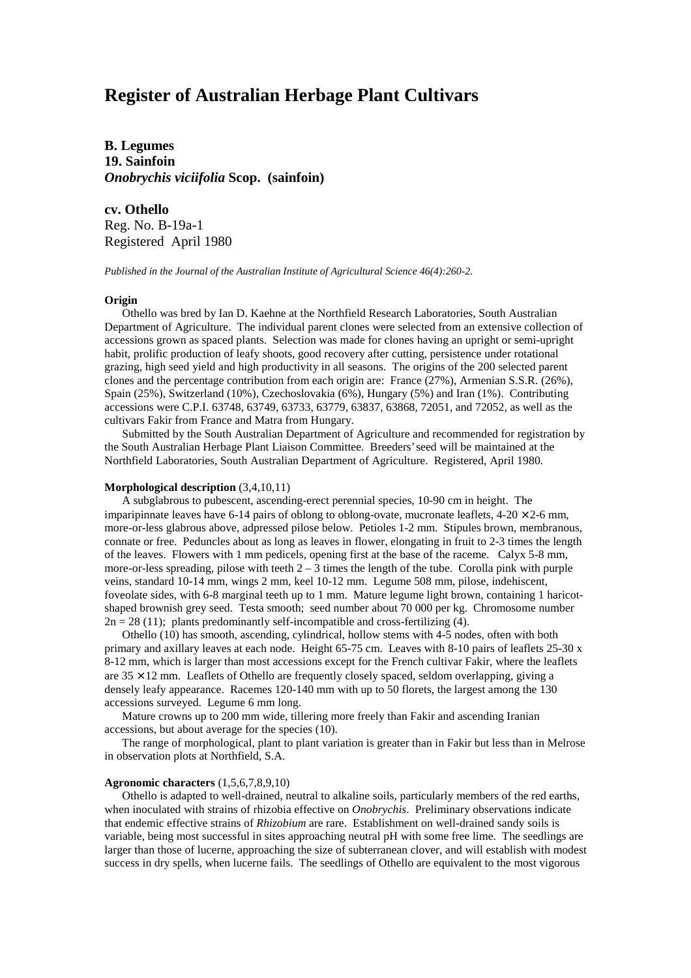# **Register of Australian Herbage Plant Cultivars**

**B. Legumes 19. Sainfoin** *Onobrychis viciifolia* **Scop. (sainfoin)**

**cv. Othello**

Reg. No. B-19a-1 Registered April 1980

*Published in the Journal of the Australian Institute of Agricultural Science 46(4):260-2.*

## **Origin**

 Othello was bred by Ian D. Kaehne at the Northfield Research Laboratories, South Australian Department of Agriculture. The individual parent clones were selected from an extensive collection of accessions grown as spaced plants. Selection was made for clones having an upright or semi-upright habit, prolific production of leafy shoots, good recovery after cutting, persistence under rotational grazing, high seed yield and high productivity in all seasons. The origins of the 200 selected parent clones and the percentage contribution from each origin are: France (27%), Armenian S.S.R. (26%), Spain (25%), Switzerland (10%), Czechoslovakia (6%), Hungary (5%) and Iran (1%). Contributing accessions were C.P.I. 63748, 63749, 63733, 63779, 63837, 63868, 72051, and 72052, as well as the cultivars Fakir from France and Matra from Hungary.

 Submitted by the South Australian Department of Agriculture and recommended for registration by the South Australian Herbage Plant Liaison Committee. Breeders' seed will be maintained at the Northfield Laboratories, South Australian Department of Agriculture. Registered, April 1980.

### **Morphological description** (3,4,10,11)

 A subglabrous to pubescent, ascending-erect perennial species, 10-90 cm in height. The imparipinnate leaves have 6-14 pairs of oblong to oblong-ovate, mucronate leaflets,  $4-20 \times 2-6$  mm, more-or-less glabrous above, adpressed pilose below. Petioles 1-2 mm. Stipules brown, membranous, connate or free. Peduncles about as long as leaves in flower, elongating in fruit to 2-3 times the length of the leaves. Flowers with 1 mm pedicels, opening first at the base of the raceme. Calyx 5-8 mm, more-or-less spreading, pilose with teeth  $2 - 3$  times the length of the tube. Corolla pink with purple veins, standard 10-14 mm, wings 2 mm, keel 10-12 mm. Legume 508 mm, pilose, indehiscent, foveolate sides, with 6-8 marginal teeth up to 1 mm. Mature legume light brown, containing 1 haricotshaped brownish grey seed. Testa smooth; seed number about 70 000 per kg. Chromosome number  $2n = 28$  (11); plants predominantly self-incompatible and cross-fertilizing (4).

 Othello (10) has smooth, ascending, cylindrical, hollow stems with 4-5 nodes, often with both primary and axillary leaves at each node. Height 65-75 cm. Leaves with 8-10 pairs of leaflets 25-30 x 8-12 mm, which is larger than most accessions except for the French cultivar Fakir, where the leaflets are  $35 \times 12$  mm. Leaflets of Othello are frequently closely spaced, seldom overlapping, giving a densely leafy appearance. Racemes 120-140 mm with up to 50 florets, the largest among the 130 accessions surveyed. Legume 6 mm long.

 Mature crowns up to 200 mm wide, tillering more freely than Fakir and ascending Iranian accessions, but about average for the species (10).

 The range of morphological, plant to plant variation is greater than in Fakir but less than in Melrose in observation plots at Northfield, S.A.

## **Agronomic characters** (1,5,6,7,8,9,10)

 Othello is adapted to well-drained, neutral to alkaline soils, particularly members of the red earths, when inoculated with strains of rhizobia effective on *Onobrychis*. Preliminary observations indicate that endemic effective strains of *Rhizobium* are rare. Establishment on well-drained sandy soils is variable, being most successful in sites approaching neutral pH with some free lime. The seedlings are larger than those of lucerne, approaching the size of subterranean clover, and will establish with modest success in dry spells, when lucerne fails. The seedlings of Othello are equivalent to the most vigorous